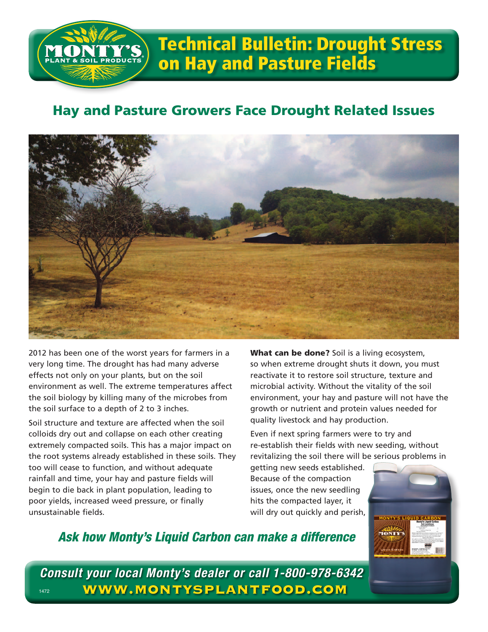

## Technical Bulletin: Drought Stress on Hay and Pasture Fields

## Hay and Pasture Growers Face Drought Related Issues



2012 has been one of the worst years for farmers in a very long time. The drought has had many adverse effects not only on your plants, but on the soil environment as well. The extreme temperatures affect the soil biology by killing many of the microbes from the soil surface to a depth of 2 to 3 inches.

Soil structure and texture are affected when the soil colloids dry out and collapse on each other creating extremely compacted soils. This has a major impact on the root systems already established in these soils. They too will cease to function, and without adequate rainfall and time, your hay and pasture fields will begin to die back in plant population, leading to poor yields, increased weed pressure, or finally unsustainable fields.

What can be done? Soil is a living ecosystem, so when extreme drought shuts it down, you must reactivate it to restore soil structure, texture and microbial activity. Without the vitality of the soil environment, your hay and pasture will not have the growth or nutrient and protein values needed for quality livestock and hay production.

Even if next spring farmers were to try and re-establish their fields with new seeding, without revitalizing the soil there will be serious problems in

getting new seeds established. Because of the compaction issues, once the new seedling hits the compacted layer, it will dry out quickly and perish,



## *Ask how Monty's Liquid Carbon can make a difference*

*Consult your local Monty's dealer or call 1-800-978-6342* 1472 **WWW.MONTYSPLANTFOOD.COM**